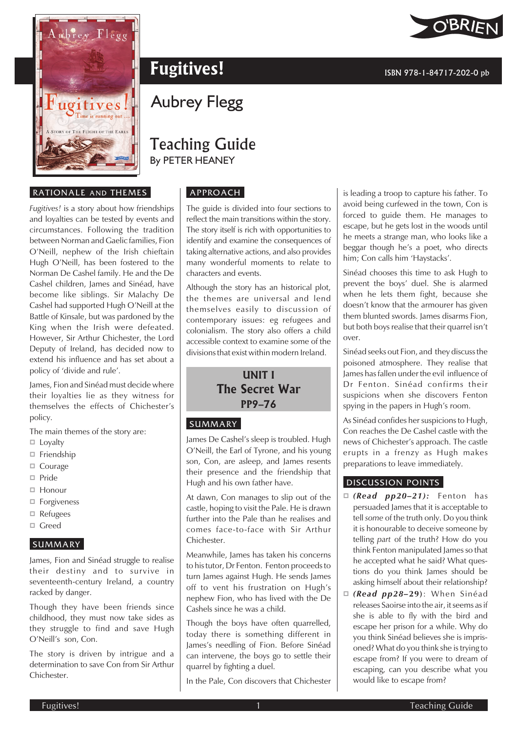

# **Fugitives!** ISBN 978-1-84717-202-0 pb

# Aubrey Flegg

## Teaching Guide By PETER HEANEY

#### APPROACH

The guide is divided into four sections to reflect the main transitions within the story. The story itself is rich with opportunities to identify and examine the consequences of taking alternative actions, and also provides many wonderful moments to relate to characters and events.

Although the story has an historical plot, the themes are universal and lend themselves easily to discussion of contemporary issues: eg refugees and colonialism. The story also offers a child accessible context to examine some of the divisions that exist within modern Ireland.

### **UNIT I The Secret War PP9–76**

#### **SUMMARY**

James De Cashel's sleep is troubled. Hugh O'Neill, the Earl of Tyrone, and his young son, Con, are asleep, and James resents their presence and the friendship that Hugh and his own father have.

At dawn, Con manages to slip out of the castle, hoping to visit the Pale. He is drawn further into the Pale than he realises and comes face-to-face with Sir Arthur Chichester.

Meanwhile, James has taken his concerns to his tutor, Dr Fenton. Fenton proceeds to turn James against Hugh. He sends James off to vent his frustration on Hugh's nephew Fion, who has lived with the De Cashels since he was a child.

Though the boys have often quarrelled, today there is something different in James's needling of Fion. Before Sinéad can intervene, the boys go to settle their quarrel by fighting a duel.

In the Pale, Con discovers that Chichester

is leading a troop to capture his father. To avoid being curfewed in the town, Con is forced to guide them. He manages to escape, but he gets lost in the woods until he meets a strange man, who looks like a beggar though he's a poet, who directs him; Con calls him 'Haystacks'.

Sinéad chooses this time to ask Hugh to prevent the boys' duel. She is alarmed when he lets them fight, because she doesn't know that the armourer has given them blunted swords. James disarms Fion, but both boys realise that their quarrel isn't over.

Sinéad seeks out Fion, and they discuss the poisoned atmosphere. They realise that James has fallen under the evil influence of Dr Fenton. Sinéad confirms their suspicions when she discovers Fenton spying in the papers in Hugh's room.

As Sinéad confides her suspicions to Hugh, Con reaches the De Cashel castle with the news of Chichester's approach. The castle erupts in a frenzy as Hugh makes preparations to leave immediately.

#### DISCUSSION POINTS

- *(Read pp20–21):* Fenton has persuaded James that it is acceptable to tell *some* of the truth only. Do you think it is honourable to deceive someone by telling *part* of the truth? How do you think Fenton manipulated James so that he accepted what he said? What questions do you think James should be asking himself about their relationship?
- *(Read pp28–***29)**: When Sinéad releases Saoirse into the air, it seems as if she is able to fly with the bird and escape her prison for a while. Why do you think Sinéad believes she is imprisoned? What do you think she is trying to escape from? If you were to dream of escaping, can you describe what you would like to escape from?

#### RATIONALE AND THEMES

*Fugitives!* is a story about how friendships and loyalties can be tested by events and circumstances. Following the tradition between Norman and Gaelic families, Fion O'Neill, nephew of the Irish chieftain Hugh O'Neill, has been fostered to the Norman De Cashel family. He and the De Cashel children, James and Sinéad, have become like siblings. Sir Malachy De Cashel had supported Hugh O'Neill at the Battle of Kinsale, but was pardoned by the King when the Irish were defeated. However, Sir Arthur Chichester, the Lord Deputy of Ireland, has decided now to extend his influence and has set about a policy of 'divide and rule'.

James, Fion and Sinéad must decide where their loyalties lie as they witness for themselves the effects of Chichester's policy.

The main themes of the story are:

- $\square$  Loyalty
- $\Box$  Friendship
- Courage
- $\Box$  Pride
- □ Honour
- □ Forgiveness
- Refugees
- Greed

#### SUMMARY

James, Fion and Sinéad struggle to realise their destiny and to survive in seventeenth-century Ireland, a country racked by danger.

Though they have been friends since childhood, they must now take sides as they struggle to find and save Hugh O'Neill's son, Con.

The story is driven by intrigue and a determination to save Con from Sir Arthur Chichester.

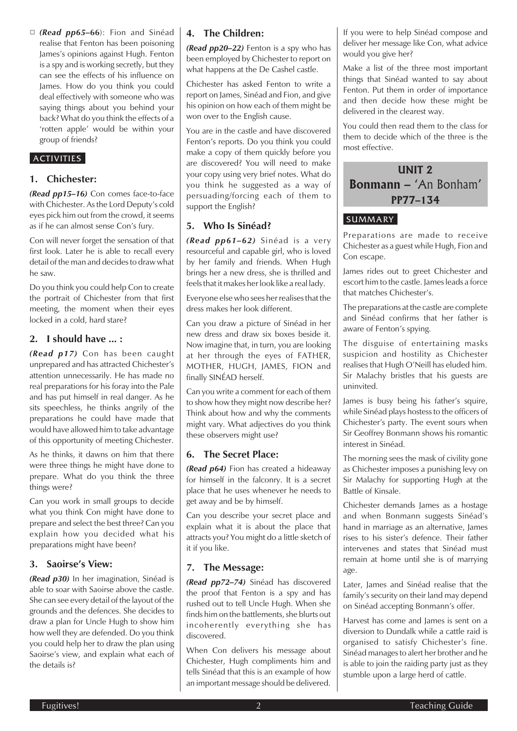*(Read pp65–***66**): Fion and Sinéad realise that Fenton has been poisoning James's opinions against Hugh. Fenton is a spy and is working secretly, but they can see the effects of his influence on James. How do you think you could deal effectively with someone who was saying things about you behind your back? What do you think the effects of a 'rotten apple' would be within your group of friends?

#### ACTIVITIES

#### **1. Chichester:**

*(Read pp15–16)* Con comes face-to-face with Chichester. As the Lord Deputy's cold eyes pick him out from the crowd, it seems as if he can almost sense Con's fury.

Con will never forget the sensation of that first look. Later he is able to recall every detail of the man and decides to draw what he saw.

Do you think you could help Con to create the portrait of Chichester from that first meeting, the moment when their eyes locked in a cold, hard stare?

#### **2. I should have ... :**

*(Read p17)* Con has been caught unprepared and has attracted Chichester's attention unnecessarily. He has made no real preparations for his foray into the Pale and has put himself in real danger. As he sits speechless, he thinks angrily of the preparations he could have made that would have allowed him to take advantage of this opportunity of meeting Chichester.

As he thinks, it dawns on him that there were three things he might have done to prepare. What do you think the three things were?

Can you work in small groups to decide what you think Con might have done to prepare and select the best three? Can you explain how you decided what his preparations might have been?

#### **3. Saoirse's View:**

*(Read p30)* In her imagination, Sinéad is able to soar with Saoirse above the castle. She can see every detail of the layout of the grounds and the defences. She decides to draw a plan for Uncle Hugh to show him how well they are defended. Do you think you could help her to draw the plan using Saoirse's view, and explain what each of the details is?

#### **4. The Children:**

*(Read pp20–22)* Fenton is a spy who has been employed by Chichester to report on what happens at the De Cashel castle.

Chichester has asked Fenton to write a report on James, Sinéad and Fion, and give his opinion on how each of them might be won over to the English cause.

You are in the castle and have discovered Fenton's reports. Do you think you could make a copy of them quickly before you are discovered? You will need to make your copy using very brief notes. What do you think he suggested as a way of persuading/forcing each of them to support the English?

#### **5. Who Is Sinéad?**

*(Read pp61–62)* Sinéad is a very resourceful and capable girl, who is loved by her family and friends. When Hugh brings her a new dress, she is thrilled and feels that it makes her look like a real lady.

Everyone else who sees her realises that the dress makes her look different.

Can you draw a picture of Sinéad in her new dress and draw six boxes beside it. Now imagine that, in turn, you are looking at her through the eyes of FATHER, MOTHER, HUGH, JAMES, FION and finally SINÉAD herself.

Can you write a comment for each of them to show how they might now describe her? Think about how and why the comments might vary. What adjectives do you think these observers might use?

#### **6. The Secret Place:**

*(Read p64)* Fion has created a hideaway for himself in the falconry. It is a secret place that he uses whenever he needs to get away and be by himself.

Can you describe your secret place and explain what it is about the place that attracts you? You might do a little sketch of it if you like.

#### **7. The Message:**

*(Read pp72–74)* Sinéad has discovered the proof that Fenton is a spy and has rushed out to tell Uncle Hugh. When she finds him on the battlements, she blurts out incoherently everything she has discovered.

When Con delivers his message about Chichester, Hugh compliments him and tells Sinéad that this is an example of how an important message should be delivered.

If you were to help Sinéad compose and deliver her message like Con, what advice would you give her?

Make a list of the three most important things that Sinéad wanted to say about Fenton. Put them in order of importance and then decide how these might be delivered in the clearest way.

You could then read them to the class for them to decide which of the three is the most effective.

**UNIT 2 Bonmann –** *'An Bonham'* **PP77–134**

#### **SUMMARY**

Preparations are made to receive Chichester as a guest while Hugh, Fion and Con escape.

James rides out to greet Chichester and escort him to the castle. James leads a force that matches Chichester's.

The preparations at the castle are complete and Sinéad confirms that her father is aware of Fenton's spying.

The disguise of entertaining masks suspicion and hostility as Chichester realises that Hugh O'Neill has eluded him. Sir Malachy bristles that his guests are uninvited.

James is busy being his father's squire, while Sinéad plays hostess to the officers of Chichester's party. The event sours when Sir Geoffrey Bonmann shows his romantic interest in Sinéad.

The morning sees the mask of civility gone as Chichester imposes a punishing levy on Sir Malachy for supporting Hugh at the Battle of Kinsale.

Chichester demands James as a hostage and when Bonmann suggests Sinéad's hand in marriage as an alternative, James rises to his sister's defence. Their father intervenes and states that Sinéad must remain at home until she is of marrying age.

Later, James and Sinéad realise that the family's security on their land may depend on Sinéad accepting Bonmann's offer.

Harvest has come and James is sent on a diversion to Dundalk while a cattle raid is organised to satisfy Chichester's fine. Sinéad manages to alert her brother and he is able to join the raiding party just as they stumble upon a large herd of cattle.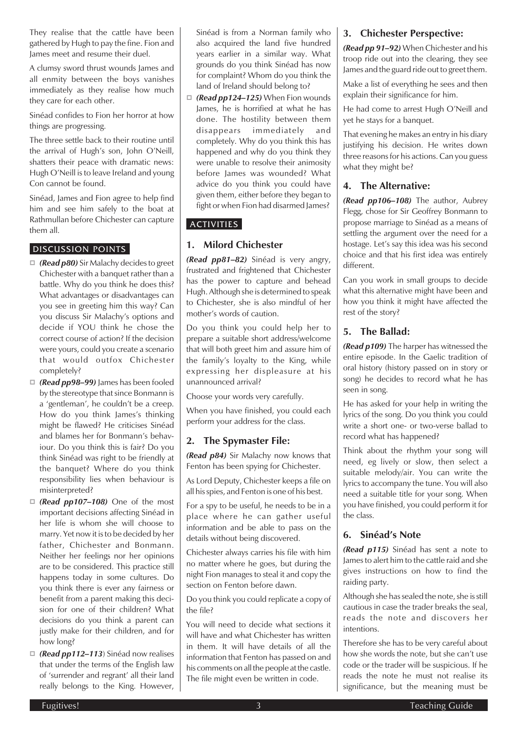They realise that the cattle have been gathered by Hugh to pay the fine. Fion and James meet and resume their duel.

A clumsy sword thrust wounds James and all enmity between the boys vanishes immediately as they realise how much they care for each other.

Sinéad confides to Fion her horror at how things are progressing.

The three settle back to their routine until the arrival of Hugh's son, John O'Neill, shatters their peace with dramatic news: Hugh O'Neill is to leave Ireland and young Con cannot be found.

Sinéad, James and Fion agree to help find him and see him safely to the boat at Rathmullan before Chichester can capture them all.

#### DISCUSSION POINTS

- *(Read p80)* Sir Malachy decides to greet Chichester with a banquet rather than a battle. Why do you think he does this? What advantages or disadvantages can you see in greeting him this way? Can you discuss Sir Malachy's options and decide if YOU think he chose the correct course of action? If the decision were yours, could you create a scenario that would outfox Chichester completely?
- *(Read pp98–99)* James has been fooled by the stereotype that since Bonmann is a 'gentleman', he couldn't be a creep. How do you think James's thinking might be flawed? He criticises Sinéad and blames her for Bonmann's behaviour. Do you think this is fair? Do you think Sinéad was right to be friendly at the banquet? Where do you think responsibility lies when behaviour is misinterpreted?
- *(Read pp107–108)* One of the most important decisions affecting Sinéad in her life is whom she will choose to marry. Yet now it is to be decided by her father, Chichester and Bonmann. Neither her feelings nor her opinions are to be considered. This practice still happens today in some cultures. Do you think there is ever any fairness or benefit from a parent making this decision for one of their children? What decisions do you think a parent can justly make for their children, and for how long?
- *(Read pp112–113*) Sinéad now realises that under the terms of the English law of 'surrender and regrant' all their land really belongs to the King. However,

Sinéad is from a Norman family who also acquired the land five hundred years earlier in a similar way. What grounds do you think Sinéad has now for complaint? Whom do you think the land of Ireland should belong to?

 *(Read pp124–125)* When Fion wounds James, he is horrified at what he has done. The hostility between them disappears immediately and completely. Why do you think this has happened and why do you think they were unable to resolve their animosity before James was wounded? What advice do you think you could have given them, either before they began to fight or when Fion had disarmed James?

### **ACTIVITIES**

#### **1. Milord Chichester**

*(Read pp81–82)* Sinéad is very angry, frustrated and frightened that Chichester has the power to capture and behead Hugh. Although she is determined to speak to Chichester, she is also mindful of her mother's words of caution.

Do you think you could help her to prepare a suitable short address/welcome that will both greet him and assure him of the family's loyalty to the King, while expressing her displeasure at his unannounced arrival?

Choose your words very carefully.

When you have finished, you could each perform your address for the class.

#### **2. The Spymaster File:**

*(Read p84)* Sir Malachy now knows that Fenton has been spying for Chichester.

As Lord Deputy, Chichester keeps a file on all his spies, and Fenton is one of his best.

For a spy to be useful, he needs to be in a place where he can gather useful information and be able to pass on the details without being discovered.

Chichester always carries his file with him no matter where he goes, but during the night Fion manages to steal it and copy the section on Fenton before dawn.

Do you think you could replicate a copy of the file?

You will need to decide what sections it will have and what Chichester has written in them. It will have details of all the information that Fenton has passed on and his comments on all the people at the castle. The file might even be written in code.

#### **3. Chichester Perspective:**

*(Read pp 91–92)* When Chichester and his troop ride out into the clearing, they see James and the guard ride out to greet them.

Make a list of everything he sees and then explain their significance for him.

He had come to arrest Hugh O'Neill and yet he stays for a banquet.

That evening he makes an entry in his diary justifying his decision. He writes down three reasons for his actions. Can you guess what they might be?

#### **4. The Alternative:**

*(Read pp106–108)* The author, Aubrey Flegg, chose for Sir Geoffrey Bonmann to propose marriage to Sinéad as a means of settling the argument over the need for a hostage. Let's say this idea was his second choice and that his first idea was entirely different.

Can you work in small groups to decide what this alternative might have been and how you think it might have affected the rest of the story?

### **5. The Ballad:**

*(Read p109)* The harper has witnessed the entire episode. In the Gaelic tradition of oral history (history passed on in story or song) he decides to record what he has seen in song.

He has asked for your help in writing the lyrics of the song. Do you think you could write a short one- or two-verse ballad to record what has happened?

Think about the rhythm your song will need, eg lively or slow, then select a suitable melody/air. You can write the lyrics to accompany the tune. You will also need a suitable title for your song. When you have finished, you could perform it for the class.

#### **6. Sinéad's Note**

*(Read p115)* Sinéad has sent a note to James to alert him to the cattle raid and she gives instructions on how to find the raiding party.

Although she has sealed the note, she is still cautious in case the trader breaks the seal, reads the note and discovers her intentions.

Therefore she has to be very careful about how she words the note, but she can't use code or the trader will be suspicious. If he reads the note he must not realise its significance, but the meaning must be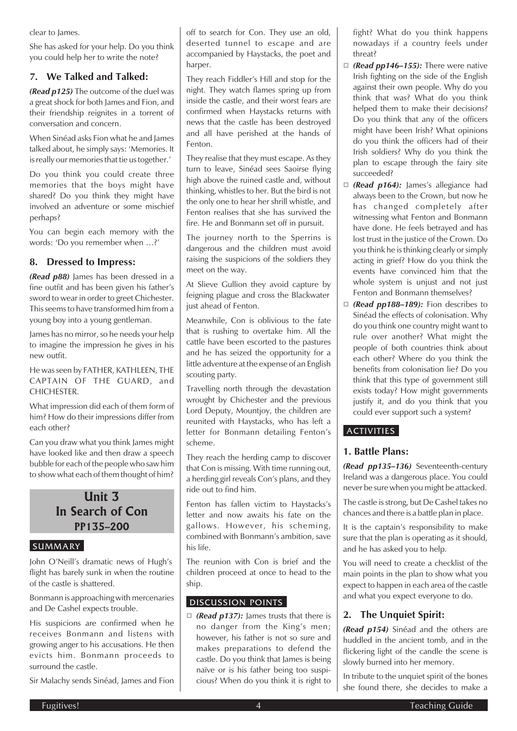clear to James.

She has asked for your help. Do you think you could help her to write the note?

### **7. We Talked and Talked:**

*(Read p125)* The outcome of the duel was a great shock for both James and Fion, and their friendship reignites in a torrent of conversation and concern.

When Sinéad asks Fion what he and James talked about, he simply says: 'Memories. It is really our memories that tie us together.'

Do you think you could create three memories that the boys might have shared? Do you think they might have involved an adventure or some mischief perhaps?

You can begin each memory with the words: 'Do you remember when …?'

#### **8. Dressed to Impress:**

*(Read p88)* James has been dressed in a fine outfit and has been given his father's sword to wear in order to greet Chichester. This seems to have transformed him from a young boy into a young gentleman.

James has no mirror, so he needs your help to imagine the impression he gives in his new outfit.

He was seen by FATHER, KATHLEEN, THE CAPTAIN OF THE GUARD, and CHICHESTER.

What impression did each of them form of him? How do their impressions differ from each other?

Can you draw what you think James might have looked like and then draw a speech bubble for each of the people who saw him to show what each of them thought of him?

### **Unit 3 In Search of Con PP135–200**

#### SUMMARY

John O'Neill's dramatic news of Hugh's flight has barely sunk in when the routine of the castle is shattered.

Bonmann is approaching with mercenaries and De Cashel expects trouble.

His suspicions are confirmed when he receives Bonmann and listens with growing anger to his accusations. He then evicts him. Bonmann proceeds to surround the castle.

Sir Malachy sends Sinéad, James and Fion

off to search for Con. They use an old, deserted tunnel to escape and are accompanied by Haystacks, the poet and harper.

They reach Fiddler's Hill and stop for the night. They watch flames spring up from inside the castle, and their worst fears are confirmed when Haystacks returns with news that the castle has been destroyed and all have perished at the hands of Fenton.

They realise that they must escape. As they turn to leave, Sinéad sees Saoirse flying high above the ruined castle and, without thinking, whistles to her. But the bird is not the only one to hear her shrill whistle, and Fenton realises that she has survived the fire. He and Bonmann set off in pursuit.

The journey north to the Sperrins is dangerous and the children must avoid raising the suspicions of the soldiers they meet on the way.

At Slieve Gullion they avoid capture by feigning plague and cross the Blackwater just ahead of Fenton.

Meanwhile, Con is oblivious to the fate that is rushing to overtake him. All the cattle have been escorted to the pastures and he has seized the opportunity for a little adventure at the expense of an English scouting party.

Travelling north through the devastation wrought by Chichester and the previous Lord Deputy, Mountjoy, the children are reunited with Haystacks, who has left a letter for Bonmann detailing Fenton's scheme.

They reach the herding camp to discover that Con is missing. With time running out, a herding girl reveals Con's plans, and they ride out to find him.

Fenton has fallen victim to Haystacks's letter and now awaits his fate on the gallows. However, his scheming, combined with Bonmann's ambition, save his life.

The reunion with Con is brief and the children proceed at once to head to the ship.

#### DISCUSSION POINTS

□ (**Read p137):** James trusts that there is no danger from the King's men; however, his father is not so sure and makes preparations to defend the castle. Do you think that James is being naïve or is his father being too suspicious? When do you think it is right to fight? What do you think happens nowadays if a country feels under threat?

- *(Read pp146–155):* There were native Irish fighting on the side of the English against their own people. Why do you think that was? What do you think helped them to make their decisions? Do you think that any of the officers might have been Irish? What opinions do you think the officers had of their Irish soldiers? Why do you think the plan to escape through the fairy site succeeded?
- *(Read p164):* James's allegiance had always been to the Crown, but now he has changed completely after witnessing what Fenton and Bonmann have done. He feels betrayed and has lost trust in the justice of the Crown. Do you think he is thinking clearly or simply acting in grief? How do you think the events have convinced him that the whole system is unjust and not just Fenton and Bonmann themselves?
- *(Read pp188–189):* Fion describes to Sinéad the effects of colonisation. Why do you think one country might want to rule over another? What might the people of both countries think about each other? Where do you think the benefits from colonisation lie? Do you think that this type of government still exists today? How might governments justify it, and do you think that you could ever support such a system?

#### **ACTIVITIES**

#### **1. Battle Plans:**

*(Read pp135–136)* Seventeenth-century Ireland was a dangerous place. You could never be sure when you might be attacked.

The castle is strong, but De Cashel takes no chances and there is a battle plan in place.

It is the captain's responsibility to make sure that the plan is operating as it should, and he has asked you to help.

You will need to create a checklist of the main points in the plan to show what you expect to happen in each area of the castle and what you expect everyone to do.

### **2. The Unquiet Spirit:**

*(Read p154)* Sinéad and the others are huddled in the ancient tomb, and in the flickering light of the candle the scene is slowly burned into her memory.

In tribute to the unquiet spirit of the bones she found there, she decides to make a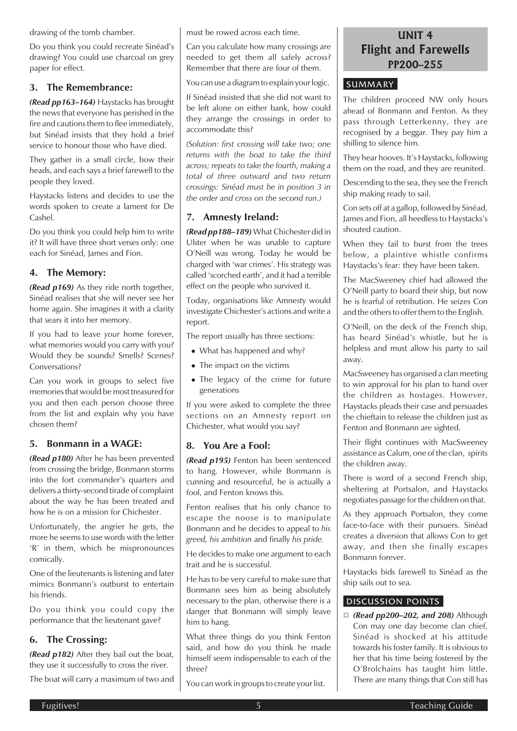drawing of the tomb chamber.

Do you think you could recreate Sinéad's drawing? You could use charcoal on grey paper for effect.

#### **3. The Remembrance:**

*(Read pp163–164)* Haystacks has brought the news that everyone has perished in the fire and cautions them to flee immediately, but Sinéad insists that they hold a brief service to honour those who have died.

They gather in a small circle, bow their heads, and each says a brief farewell to the people they loved.

Haystacks listens and decides to use the words spoken to create a lament for De Cashel.

Do you think you could help him to write it? It will have three short verses only: one each for Sinéad, James and Fion.

#### **4. The Memory:**

*(Read p169)* As they ride north together, Sinéad realises that she will never see her home again. She imagines it with a clarity that sears it into her memory.

If you had to leave *your* home forever, what memories would you carry with you? Would they be sounds? Smells? Scenes? Conversations?

Can you work in groups to select five memories that would be most treasured for you and then each person choose three from the list and explain why you have chosen them?

#### **5. Bonmann in a WAGE:**

*(Read p180)* After he has been prevented from crossing the bridge, Bonmann storms into the fort commander's quarters and delivers a thirty-second tirade of complaint about the way he has been treated and how he is on a mission for Chichester.

Unfortunately, the angrier he gets, the more he seems to use words with the letter 'R' in them, which he mispronounces comically.

One of the lieutenants is listening and later mimics Bonmann's outburst to entertain his friends.

Do you think you could copy the performance that the lieutenant gave?

### **6. The Crossing:**

*(Read p182)* After they bail out the boat, they use it successfully to cross the river. The boat will carry a maximum of two and must be rowed across each time.

Can you calculate how many crossings are needed to get them all safely across? Remember that there are four of them.

You can use a diagram to explain your logic.

If Sinéad insisted that she did not want to be left alone on either bank, how could they arrange the crossings in order to accommodate this?

*(Solution: first crossing will take two; one returns with the boat to take the third across; repeats to take the fourth, making a total of three outward and two return crossings: Sinéad must be in position 3 in the order and cross on the second run.)*

### **7. Amnesty Ireland:**

*(Read pp188–189)* What Chichester did in Ulster when he was unable to capture O'Neill was wrong. Today he would be charged with 'war crimes'. His strategy was called 'scorched earth', and it had a terrible effect on the people who survived it.

Today, organisations like Amnesty would investigate Chichester's actions and write a report.

The report usually has three sections:

- What has happened and why?
- The impact on the victims
- The legacy of the crime for future generations

If you were asked to complete the three sections on an Amnesty report on Chichester, what would you say?

### **8. You Are a Fool:**

*(Read p195)* Fenton has been sentenced to hang. However, while Bonmann is cunning and resourceful, he is actually a fool, and Fenton knows this.

Fenton realises that his only chance to escape the noose is to manipulate Bonmann and he decides to appeal to *his greed, his ambition* and finally *his pride.*

He decides to make one argument to each trait and he is successful.

He has to be very careful to make sure that Bonmann sees him as being absolutely necessary to the plan, otherwise there is a danger that Bonmann will simply leave him to hang.

What three things do you think Fenton said, and how do you think he made himself seem indispensable to each of the three?

You can work in groups to create your list.

### **UNIT 4 Flight and Farewells PP200–255**

#### SUMMARY

The children proceed NW only hours ahead of Bonmann and Fenton. As they pass through Letterkenny, they are recognised by a beggar. They pay him a shilling to silence him.

They hear hooves. It's Haystacks, following them on the road, and they are reunited.

Descending to the sea, they see the French ship making ready to sail.

Con sets off at a gallop, followed by Sinéad, James and Fion, all heedless to Haystacks's shouted caution.

When they fail to burst from the trees below, a plaintive whistle confirms Haystacks's fear: they have been taken.

The MacSweeney chief had allowed the O'Neill party to board their ship, but now he is fearful of retribution. He seizes Con and the others to offer them to the English.

O'Neill, on the deck of the French ship, has heard Sinéad's whistle, but he is helpless and must allow his party to sail away.

MacSweeney has organised a clan meeting to win approval for his plan to hand over the children as hostages. However, Haystacks pleads their case and persuades the chieftain to release the children just as Fenton and Bonmann are sighted.

Their flight continues with MacSweeney assistance as Calum, one of the clan, spirits the children away.

There is word of a second French ship, sheltering at Portsalon, and Haystacks negotiates passage for the children on that.

As they approach Portsalon, they come face-to-face with their pursuers. Sinéad creates a diversion that allows Con to get away, and then she finally escapes Bonmann forever.

Haystacks bids farewell to Sinéad as the ship sails out to sea.

#### DISCUSSION POINTS

 *(Read pp200–202, and 208)* Although Con may one day become clan chief, Sinéad is shocked at his attitude towards his foster family. It is obvious to her that his time being fostered by the O'Brolchains has taught him little. There are many things that Con still has